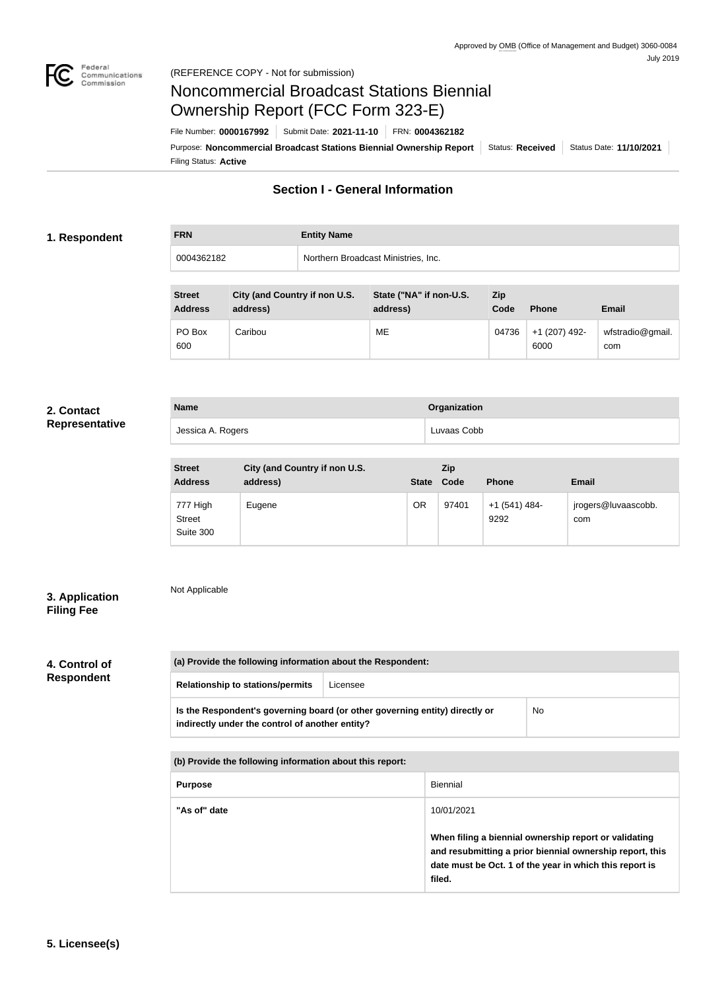

# Noncommercial Broadcast Stations Biennial Ownership Report (FCC Form 323-E)

Filing Status: **Active** Purpose: Noncommercial Broadcast Stations Biennial Ownership Report | Status: Received | Status Date: 11/10/2021 File Number: **0000167992** Submit Date: **2021-11-10** FRN: **0004362182**

# **Section I - General Information**

### **1. Respondent**

**FRN Entity Name** 0004362182 Northern Broadcast Ministries, Inc.

| <b>Street</b><br><b>Address</b> | City (and Country if non U.S.<br>address) | State ("NA" if non-U.S.<br>address) | Zip<br>Code | <b>Phone</b>          | <b>Email</b>            |
|---------------------------------|-------------------------------------------|-------------------------------------|-------------|-----------------------|-------------------------|
| PO Box<br>600                   | Caribou                                   | ME                                  | 04736       | +1 (207) 492-<br>6000 | wfstradio@gmail.<br>com |

#### **2. Contact Representative**

| <b>Name</b>       | Organization |
|-------------------|--------------|
| Jessica A. Rogers | Luvaas Cobb  |

| <b>Street</b><br><b>Address</b>        | City (and Country if non U.S.<br>address) |           | Zip<br>State Code | <b>Phone</b>          | <b>Email</b>               |
|----------------------------------------|-------------------------------------------|-----------|-------------------|-----------------------|----------------------------|
| 777 High<br><b>Street</b><br>Suite 300 | Eugene                                    | <b>OR</b> | 97401             | +1 (541) 484-<br>9292 | jrogers@luvaascobb.<br>com |

## **3. Application Filing Fee**

# Not Applicable

# **4. Control of Respondent**

| (a) Provide the following information about the Respondent:                                                                    |          |           |  |
|--------------------------------------------------------------------------------------------------------------------------------|----------|-----------|--|
| <b>Relationship to stations/permits</b>                                                                                        | Licensee |           |  |
| Is the Respondent's governing board (or other governing entity) directly or<br>indirectly under the control of another entity? |          | <b>No</b> |  |

| (b) Provide the following information about this report: |                                                                                                                                                                                        |  |
|----------------------------------------------------------|----------------------------------------------------------------------------------------------------------------------------------------------------------------------------------------|--|
| <b>Purpose</b>                                           | Biennial                                                                                                                                                                               |  |
| "As of" date                                             | 10/01/2021                                                                                                                                                                             |  |
|                                                          | When filing a biennial ownership report or validating<br>and resubmitting a prior biennial ownership report, this<br>date must be Oct. 1 of the year in which this report is<br>filed. |  |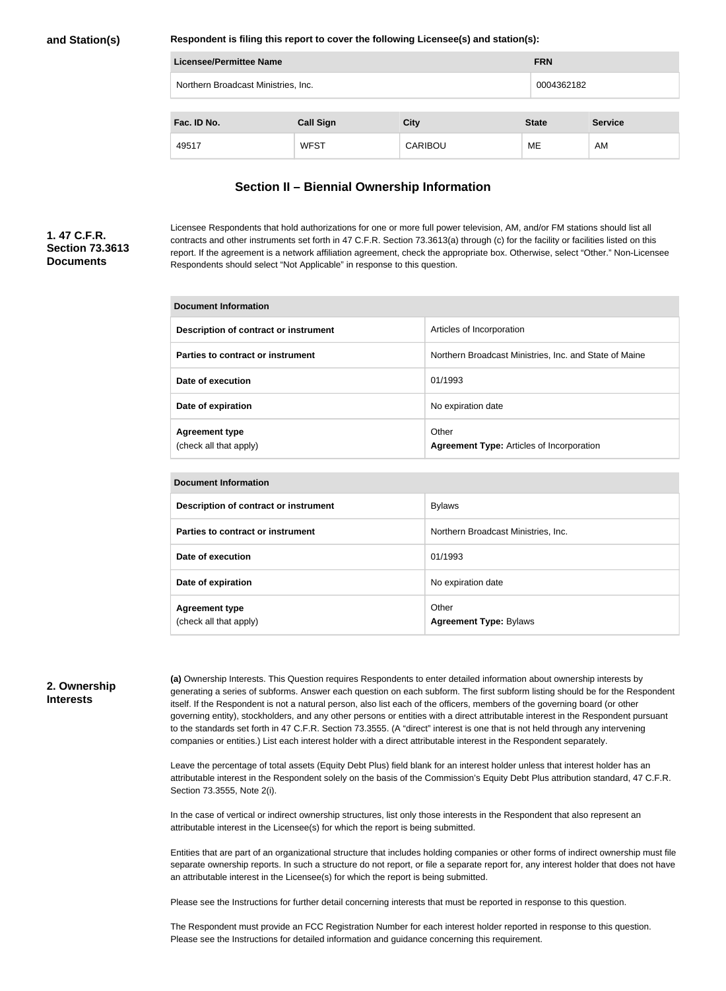#### **and Station(s)**

#### **Respondent is filing this report to cover the following Licensee(s) and station(s):**

| <b>Licensee/Permittee Name</b>      |                  |                |              |                |
|-------------------------------------|------------------|----------------|--------------|----------------|
| Northern Broadcast Ministries, Inc. |                  |                | 0004362182   |                |
|                                     |                  |                |              |                |
| Fac. ID No.                         | <b>Call Sign</b> | <b>City</b>    | <b>State</b> | <b>Service</b> |
| 49517                               | <b>WFST</b>      | <b>CARIBOU</b> | ME           | AM             |

#### **Section II – Biennial Ownership Information**

## **1. 47 C.F.R. Section 73.3613 Documents**

Licensee Respondents that hold authorizations for one or more full power television, AM, and/or FM stations should list all contracts and other instruments set forth in 47 C.F.R. Section 73.3613(a) through (c) for the facility or facilities listed on this report. If the agreement is a network affiliation agreement, check the appropriate box. Otherwise, select "Other." Non-Licensee Respondents should select "Not Applicable" in response to this question.

| Document Information                            |                                                           |  |
|-------------------------------------------------|-----------------------------------------------------------|--|
| Description of contract or instrument           | Articles of Incorporation                                 |  |
| Parties to contract or instrument               | Northern Broadcast Ministries, Inc. and State of Maine    |  |
| Date of execution                               | 01/1993                                                   |  |
| Date of expiration                              | No expiration date                                        |  |
| <b>Agreement type</b><br>(check all that apply) | Other<br><b>Agreement Type: Articles of Incorporation</b> |  |

| <b>Document Information</b>                     |                                        |  |
|-------------------------------------------------|----------------------------------------|--|
| Description of contract or instrument           | <b>Bylaws</b>                          |  |
| Parties to contract or instrument               | Northern Broadcast Ministries, Inc.    |  |
| Date of execution                               | 01/1993                                |  |
| Date of expiration                              | No expiration date                     |  |
| <b>Agreement type</b><br>(check all that apply) | Other<br><b>Agreement Type: Bylaws</b> |  |

#### **2. Ownership Interests**

**(a)** Ownership Interests. This Question requires Respondents to enter detailed information about ownership interests by generating a series of subforms. Answer each question on each subform. The first subform listing should be for the Respondent itself. If the Respondent is not a natural person, also list each of the officers, members of the governing board (or other governing entity), stockholders, and any other persons or entities with a direct attributable interest in the Respondent pursuant to the standards set forth in 47 C.F.R. Section 73.3555. (A "direct" interest is one that is not held through any intervening companies or entities.) List each interest holder with a direct attributable interest in the Respondent separately.

Leave the percentage of total assets (Equity Debt Plus) field blank for an interest holder unless that interest holder has an attributable interest in the Respondent solely on the basis of the Commission's Equity Debt Plus attribution standard, 47 C.F.R. Section 73.3555, Note 2(i).

In the case of vertical or indirect ownership structures, list only those interests in the Respondent that also represent an attributable interest in the Licensee(s) for which the report is being submitted.

Entities that are part of an organizational structure that includes holding companies or other forms of indirect ownership must file separate ownership reports. In such a structure do not report, or file a separate report for, any interest holder that does not have an attributable interest in the Licensee(s) for which the report is being submitted.

Please see the Instructions for further detail concerning interests that must be reported in response to this question.

The Respondent must provide an FCC Registration Number for each interest holder reported in response to this question. Please see the Instructions for detailed information and guidance concerning this requirement.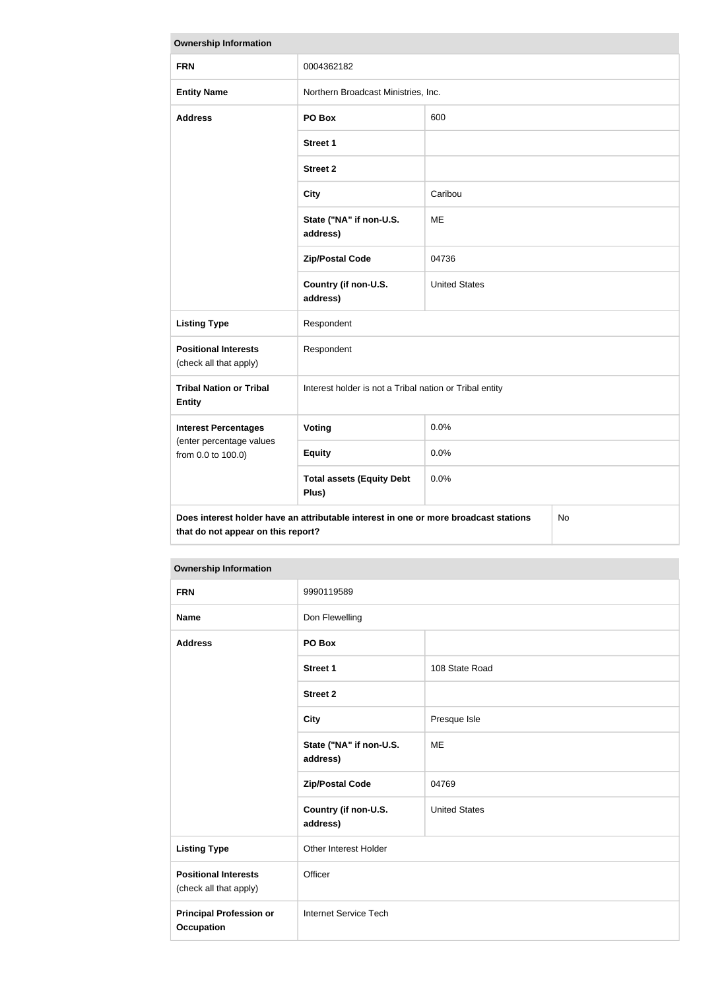| <b>Ownership Information</b>                                                                                                     |                                                         |                      |  |  |
|----------------------------------------------------------------------------------------------------------------------------------|---------------------------------------------------------|----------------------|--|--|
| <b>FRN</b>                                                                                                                       | 0004362182                                              |                      |  |  |
| <b>Entity Name</b>                                                                                                               | Northern Broadcast Ministries, Inc.                     |                      |  |  |
| <b>Address</b>                                                                                                                   | PO Box                                                  | 600                  |  |  |
|                                                                                                                                  | <b>Street 1</b>                                         |                      |  |  |
|                                                                                                                                  | <b>Street 2</b>                                         |                      |  |  |
|                                                                                                                                  | <b>City</b>                                             | Caribou              |  |  |
|                                                                                                                                  | State ("NA" if non-U.S.<br>address)                     | ME                   |  |  |
|                                                                                                                                  | <b>Zip/Postal Code</b>                                  | 04736                |  |  |
|                                                                                                                                  | Country (if non-U.S.<br>address)                        | <b>United States</b> |  |  |
| <b>Listing Type</b>                                                                                                              | Respondent                                              |                      |  |  |
| <b>Positional Interests</b><br>(check all that apply)                                                                            | Respondent                                              |                      |  |  |
| <b>Tribal Nation or Tribal</b><br><b>Entity</b>                                                                                  | Interest holder is not a Tribal nation or Tribal entity |                      |  |  |
| <b>Interest Percentages</b>                                                                                                      | Voting                                                  | 0.0%                 |  |  |
| (enter percentage values<br>from 0.0 to 100.0)                                                                                   | <b>Equity</b>                                           | 0.0%                 |  |  |
|                                                                                                                                  | <b>Total assets (Equity Debt</b><br>Plus)               | 0.0%                 |  |  |
| Does interest holder have an attributable interest in one or more broadcast stations<br>No<br>that do not appear on this report? |                                                         |                      |  |  |

| <b>FRN</b>                                            | 9990119589                          |                      |  |
|-------------------------------------------------------|-------------------------------------|----------------------|--|
| <b>Name</b>                                           | Don Flewelling                      |                      |  |
| <b>Address</b>                                        | PO Box                              |                      |  |
|                                                       | <b>Street 1</b>                     | 108 State Road       |  |
|                                                       | <b>Street 2</b>                     |                      |  |
|                                                       | <b>City</b>                         | Presque Isle         |  |
|                                                       | State ("NA" if non-U.S.<br>address) | ME                   |  |
|                                                       | <b>Zip/Postal Code</b>              | 04769                |  |
|                                                       | Country (if non-U.S.<br>address)    | <b>United States</b> |  |
| <b>Listing Type</b><br>Other Interest Holder          |                                     |                      |  |
| <b>Positional Interests</b><br>(check all that apply) | Officer                             |                      |  |
| <b>Principal Profession or</b><br><b>Occupation</b>   | Internet Service Tech               |                      |  |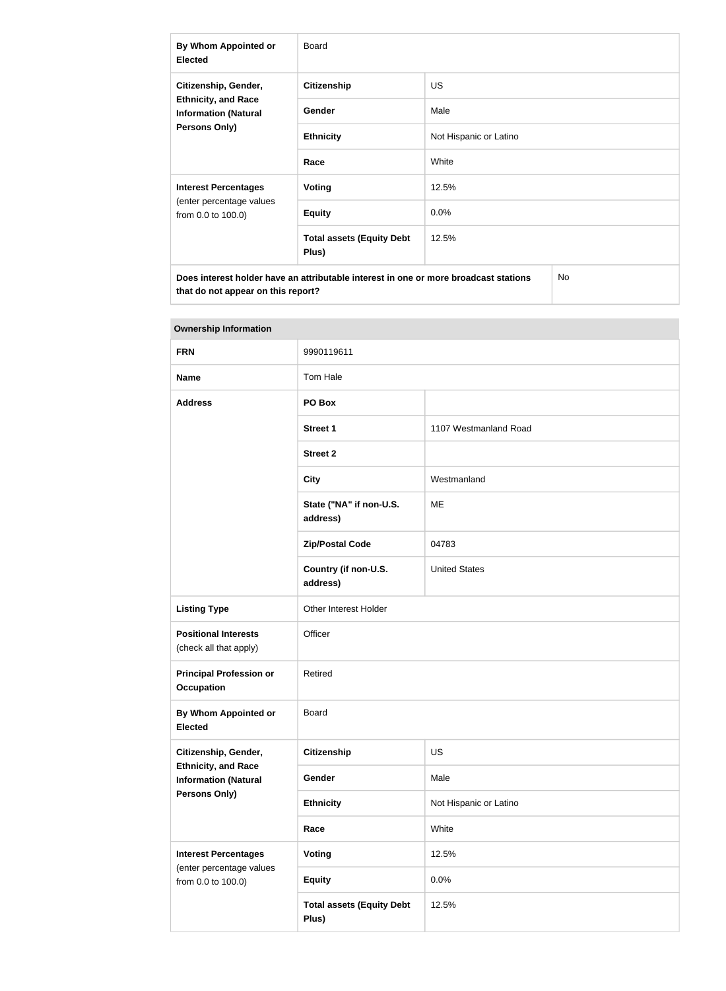| <b>By Whom Appointed or</b><br><b>Elected</b>                                                      | Board                                     |                        |  |
|----------------------------------------------------------------------------------------------------|-------------------------------------------|------------------------|--|
| Citizenship, Gender,<br><b>Ethnicity, and Race</b><br><b>Information (Natural</b><br>Persons Only) | <b>Citizenship</b>                        | <b>US</b>              |  |
|                                                                                                    | Gender                                    | Male                   |  |
|                                                                                                    | <b>Ethnicity</b>                          | Not Hispanic or Latino |  |
|                                                                                                    | Race                                      | White                  |  |
| <b>Interest Percentages</b><br>(enter percentage values<br>from 0.0 to 100.0)                      | Voting                                    | 12.5%                  |  |
|                                                                                                    | <b>Equity</b>                             | $0.0\%$                |  |
|                                                                                                    | <b>Total assets (Equity Debt</b><br>Plus) | 12.5%                  |  |
| Does interest holder have an attributable interest in one or more broadcast stations<br>No         |                                           |                        |  |

| <b>Ownership Information</b>                              |                                           |                        |  |
|-----------------------------------------------------------|-------------------------------------------|------------------------|--|
| <b>FRN</b>                                                | 9990119611                                |                        |  |
| <b>Name</b>                                               | Tom Hale                                  |                        |  |
| <b>Address</b>                                            | PO Box                                    |                        |  |
|                                                           | <b>Street 1</b>                           | 1107 Westmanland Road  |  |
|                                                           | <b>Street 2</b>                           |                        |  |
|                                                           | <b>City</b>                               | Westmanland            |  |
|                                                           | State ("NA" if non-U.S.<br>address)       | ME                     |  |
|                                                           | <b>Zip/Postal Code</b>                    | 04783                  |  |
|                                                           | Country (if non-U.S.<br>address)          | <b>United States</b>   |  |
| <b>Listing Type</b>                                       | Other Interest Holder                     |                        |  |
| <b>Positional Interests</b><br>(check all that apply)     | Officer                                   |                        |  |
| <b>Principal Profession or</b><br><b>Occupation</b>       | Retired                                   |                        |  |
| By Whom Appointed or<br><b>Elected</b>                    | <b>Board</b>                              |                        |  |
| Citizenship, Gender,                                      | <b>Citizenship</b>                        | <b>US</b>              |  |
| <b>Ethnicity, and Race</b><br><b>Information (Natural</b> | Gender                                    | Male                   |  |
| Persons Only)                                             | <b>Ethnicity</b>                          | Not Hispanic or Latino |  |
|                                                           | Race                                      | White                  |  |
| <b>Interest Percentages</b>                               | Voting                                    | 12.5%                  |  |
| (enter percentage values<br>from 0.0 to 100.0)            | <b>Equity</b>                             | 0.0%                   |  |
|                                                           | <b>Total assets (Equity Debt</b><br>Plus) | 12.5%                  |  |

#### **Ownership Information**

**that do not appear on this report?**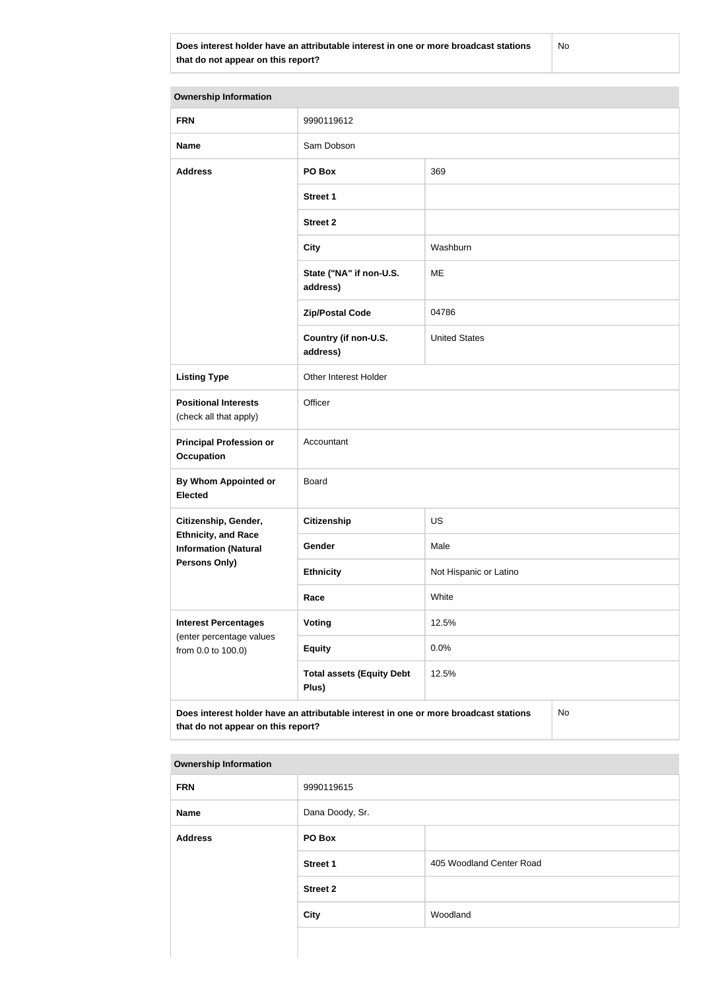**Does interest holder have an attributable interest in one or more broadcast stations that do not appear on this report?**

No

| <b>Ownership Information</b>                                                                                                     |                                                    |                        |  |  |
|----------------------------------------------------------------------------------------------------------------------------------|----------------------------------------------------|------------------------|--|--|
| <b>FRN</b>                                                                                                                       | 9990119612                                         |                        |  |  |
| <b>Name</b>                                                                                                                      | Sam Dobson                                         |                        |  |  |
| <b>Address</b>                                                                                                                   | PO Box                                             | 369                    |  |  |
|                                                                                                                                  | <b>Street 1</b>                                    |                        |  |  |
|                                                                                                                                  | <b>Street 2</b>                                    |                        |  |  |
|                                                                                                                                  | <b>City</b>                                        | Washburn               |  |  |
|                                                                                                                                  | State ("NA" if non-U.S.<br>address)                | <b>ME</b>              |  |  |
|                                                                                                                                  | <b>Zip/Postal Code</b>                             | 04786                  |  |  |
|                                                                                                                                  | Country (if non-U.S.<br>address)                   | <b>United States</b>   |  |  |
| <b>Listing Type</b>                                                                                                              | Other Interest Holder                              |                        |  |  |
| <b>Positional Interests</b><br>(check all that apply)                                                                            | Officer                                            |                        |  |  |
| <b>Principal Profession or</b><br><b>Occupation</b>                                                                              | Accountant                                         |                        |  |  |
| <b>By Whom Appointed or</b><br><b>Elected</b>                                                                                    | Board                                              |                        |  |  |
| Citizenship, Gender,                                                                                                             | <b>Citizenship</b>                                 | <b>US</b>              |  |  |
| <b>Ethnicity, and Race</b><br><b>Information (Natural</b>                                                                        | Gender                                             | Male                   |  |  |
| <b>Persons Only)</b>                                                                                                             | <b>Ethnicity</b>                                   | Not Hispanic or Latino |  |  |
|                                                                                                                                  | Race                                               | White                  |  |  |
| <b>Interest Percentages</b><br>(enter percentage values                                                                          | Voting                                             | 12.5%                  |  |  |
| from 0.0 to 100.0)                                                                                                               | <b>Equity</b>                                      | 0.0%                   |  |  |
|                                                                                                                                  | <b>Total assets (Equity Debt</b><br>12.5%<br>Plus) |                        |  |  |
| Does interest holder have an attributable interest in one or more broadcast stations<br>No<br>that do not appear on this report? |                                                    |                        |  |  |

#### **Ownership Information**

| <b>FRN</b>     | 9990119615      |                          |
|----------------|-----------------|--------------------------|
| <b>Name</b>    | Dana Doody, Sr. |                          |
| <b>Address</b> | PO Box          |                          |
|                | <b>Street 1</b> | 405 Woodland Center Road |
|                | <b>Street 2</b> |                          |
|                | <b>City</b>     | Woodland                 |
|                |                 |                          |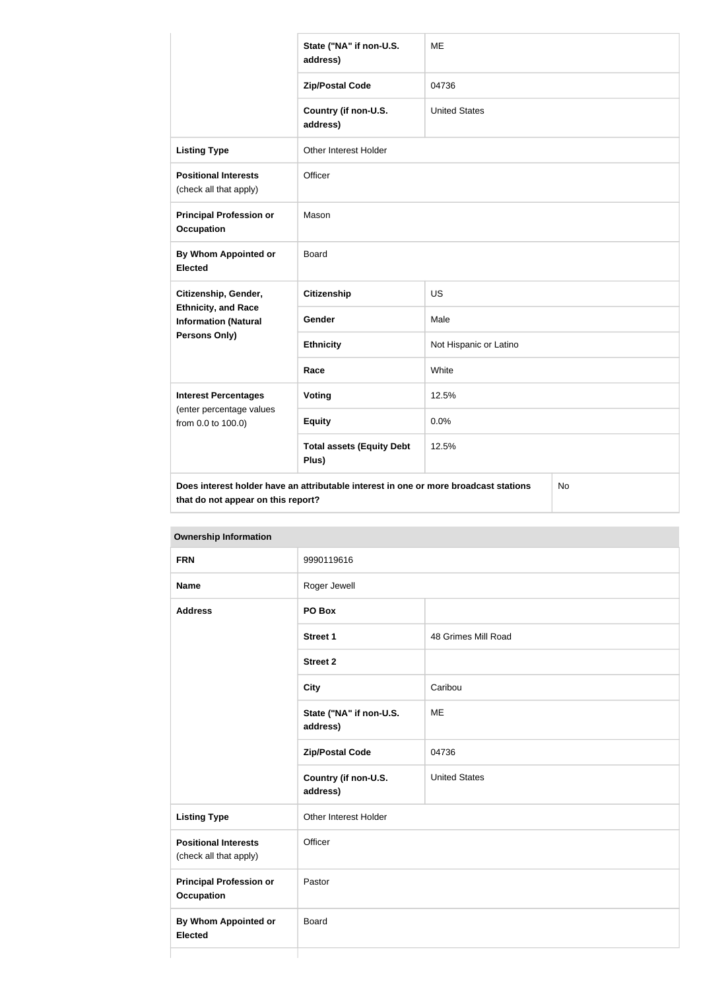|                                                           | State ("NA" if non-U.S.<br>address)                                                  | <b>ME</b>              |           |  |
|-----------------------------------------------------------|--------------------------------------------------------------------------------------|------------------------|-----------|--|
|                                                           | <b>Zip/Postal Code</b>                                                               | 04736                  |           |  |
|                                                           | Country (if non-U.S.<br>address)                                                     | <b>United States</b>   |           |  |
| <b>Listing Type</b>                                       | Other Interest Holder                                                                |                        |           |  |
| <b>Positional Interests</b><br>(check all that apply)     | Officer                                                                              |                        |           |  |
| <b>Principal Profession or</b><br><b>Occupation</b>       | Mason                                                                                |                        |           |  |
| By Whom Appointed or<br><b>Elected</b>                    | <b>Board</b>                                                                         |                        |           |  |
| Citizenship, Gender,                                      | <b>Citizenship</b>                                                                   | <b>US</b>              |           |  |
| <b>Ethnicity, and Race</b><br><b>Information (Natural</b> | <b>Gender</b>                                                                        | Male                   |           |  |
| <b>Persons Only)</b>                                      | <b>Ethnicity</b>                                                                     | Not Hispanic or Latino |           |  |
|                                                           | Race                                                                                 | White                  |           |  |
| <b>Interest Percentages</b>                               | Voting                                                                               | 12.5%                  |           |  |
| (enter percentage values<br>from 0.0 to 100.0)            | <b>Equity</b>                                                                        | 0.0%                   |           |  |
|                                                           | <b>Total assets (Equity Debt</b><br>Plus)                                            | 12.5%                  |           |  |
| that do not appear on this report?                        | Does interest holder have an attributable interest in one or more broadcast stations |                        | <b>No</b> |  |

| <b>Ownership Information</b>                          |                                     |                      |
|-------------------------------------------------------|-------------------------------------|----------------------|
| <b>FRN</b>                                            | 9990119616                          |                      |
| <b>Name</b>                                           | Roger Jewell                        |                      |
| <b>Address</b>                                        | PO Box                              |                      |
|                                                       | <b>Street 1</b>                     | 48 Grimes Mill Road  |
|                                                       | <b>Street 2</b>                     |                      |
|                                                       | <b>City</b>                         | Caribou              |
|                                                       | State ("NA" if non-U.S.<br>address) | <b>ME</b>            |
|                                                       | <b>Zip/Postal Code</b>              | 04736                |
|                                                       | Country (if non-U.S.<br>address)    | <b>United States</b> |
| <b>Listing Type</b>                                   | Other Interest Holder               |                      |
| <b>Positional Interests</b><br>(check all that apply) | Officer                             |                      |
| <b>Principal Profession or</b><br><b>Occupation</b>   | Pastor                              |                      |
| <b>By Whom Appointed or</b><br><b>Elected</b>         | Board                               |                      |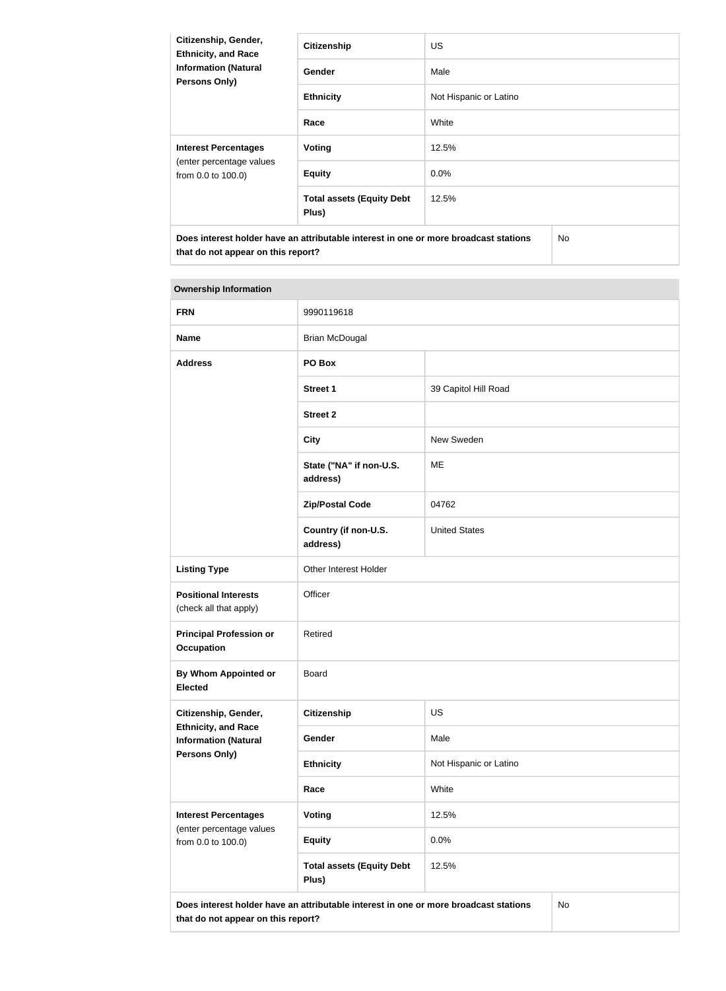| Citizenship, Gender,<br><b>Ethnicity, and Race</b><br><b>Information (Natural</b><br><b>Persons Only)</b> | <b>Citizenship</b>                        | US.                    |  |
|-----------------------------------------------------------------------------------------------------------|-------------------------------------------|------------------------|--|
|                                                                                                           | <b>Gender</b>                             | Male                   |  |
|                                                                                                           | <b>Ethnicity</b>                          | Not Hispanic or Latino |  |
|                                                                                                           | Race                                      | White                  |  |
| <b>Interest Percentages</b><br>(enter percentage values<br>from 0.0 to 100.0)                             | Voting                                    | 12.5%                  |  |
|                                                                                                           | <b>Equity</b>                             | 0.0%                   |  |
|                                                                                                           | <b>Total assets (Equity Debt</b><br>Plus) | 12.5%                  |  |
| Does interest holder have an attributable interest in one or more broadcast stations                      |                                           | <b>No</b>              |  |

# **Ownership Information**

**that do not appear on this report?**

| <b>FRN</b>                                                | 9990119618                                                                           |                        |    |
|-----------------------------------------------------------|--------------------------------------------------------------------------------------|------------------------|----|
| <b>Name</b>                                               | <b>Brian McDougal</b>                                                                |                        |    |
| <b>Address</b>                                            | PO Box                                                                               |                        |    |
|                                                           | <b>Street 1</b>                                                                      | 39 Capitol Hill Road   |    |
|                                                           | <b>Street 2</b>                                                                      |                        |    |
|                                                           | <b>City</b>                                                                          | New Sweden             |    |
|                                                           | State ("NA" if non-U.S.<br>address)                                                  | ME                     |    |
|                                                           | <b>Zip/Postal Code</b>                                                               | 04762                  |    |
|                                                           | Country (if non-U.S.<br>address)                                                     | <b>United States</b>   |    |
| <b>Listing Type</b>                                       | Other Interest Holder                                                                |                        |    |
| <b>Positional Interests</b><br>(check all that apply)     | Officer                                                                              |                        |    |
| <b>Principal Profession or</b><br><b>Occupation</b>       | Retired                                                                              |                        |    |
| <b>By Whom Appointed or</b><br><b>Elected</b>             | <b>Board</b>                                                                         |                        |    |
| Citizenship, Gender,                                      | <b>Citizenship</b>                                                                   | US                     |    |
| <b>Ethnicity, and Race</b><br><b>Information (Natural</b> | Gender                                                                               | Male                   |    |
| <b>Persons Only)</b>                                      | <b>Ethnicity</b>                                                                     | Not Hispanic or Latino |    |
|                                                           | Race                                                                                 | White                  |    |
| <b>Interest Percentages</b><br>(enter percentage values   | <b>Voting</b>                                                                        | 12.5%                  |    |
| from 0.0 to 100.0)                                        | <b>Equity</b>                                                                        | 0.0%                   |    |
|                                                           | <b>Total assets (Equity Debt</b><br>Plus)                                            | 12.5%                  |    |
| that do not appear on this report?                        | Does interest holder have an attributable interest in one or more broadcast stations |                        | No |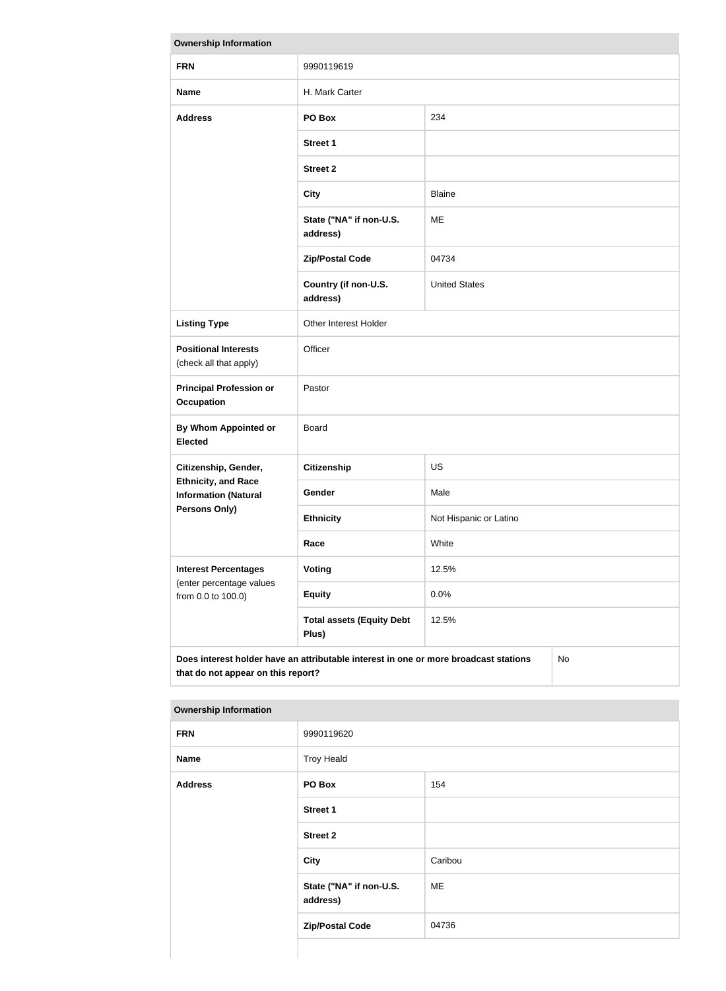| <b>Ownership Information</b>                                                                                                     |                                           |                        |  |
|----------------------------------------------------------------------------------------------------------------------------------|-------------------------------------------|------------------------|--|
| <b>FRN</b>                                                                                                                       | 9990119619                                |                        |  |
| <b>Name</b>                                                                                                                      | H. Mark Carter                            |                        |  |
| <b>Address</b>                                                                                                                   | PO Box                                    | 234                    |  |
|                                                                                                                                  | <b>Street 1</b>                           |                        |  |
|                                                                                                                                  | <b>Street 2</b>                           |                        |  |
|                                                                                                                                  | <b>City</b>                               | <b>Blaine</b>          |  |
|                                                                                                                                  | State ("NA" if non-U.S.<br>address)       | <b>ME</b>              |  |
|                                                                                                                                  | <b>Zip/Postal Code</b>                    | 04734                  |  |
|                                                                                                                                  | Country (if non-U.S.<br>address)          | <b>United States</b>   |  |
| <b>Listing Type</b>                                                                                                              | Other Interest Holder                     |                        |  |
| <b>Positional Interests</b><br>(check all that apply)                                                                            | Officer                                   |                        |  |
| <b>Principal Profession or</b><br><b>Occupation</b>                                                                              | Pastor                                    |                        |  |
| By Whom Appointed or<br><b>Elected</b>                                                                                           | <b>Board</b>                              |                        |  |
| Citizenship, Gender,                                                                                                             | <b>Citizenship</b>                        | <b>US</b>              |  |
| <b>Ethnicity, and Race</b><br><b>Information (Natural</b>                                                                        | Gender                                    | Male                   |  |
| <b>Persons Only)</b>                                                                                                             | <b>Ethnicity</b>                          | Not Hispanic or Latino |  |
|                                                                                                                                  | Race                                      | White                  |  |
| <b>Interest Percentages</b>                                                                                                      | <b>Voting</b>                             | 12.5%                  |  |
| (enter percentage values<br>from 0.0 to 100.0)                                                                                   | <b>Equity</b>                             | 0.0%                   |  |
|                                                                                                                                  | <b>Total assets (Equity Debt</b><br>Plus) | 12.5%                  |  |
| Does interest holder have an attributable interest in one or more broadcast stations<br>No<br>that do not appear on this report? |                                           |                        |  |

| <b>FRN</b>     | 9990119620                          |         |  |
|----------------|-------------------------------------|---------|--|
| <b>Name</b>    | <b>Troy Heald</b>                   |         |  |
| <b>Address</b> | PO Box                              | 154     |  |
|                | Street 1                            |         |  |
|                | <b>Street 2</b>                     |         |  |
|                | <b>City</b>                         | Caribou |  |
|                | State ("NA" if non-U.S.<br>address) | ME      |  |
|                | <b>Zip/Postal Code</b>              | 04736   |  |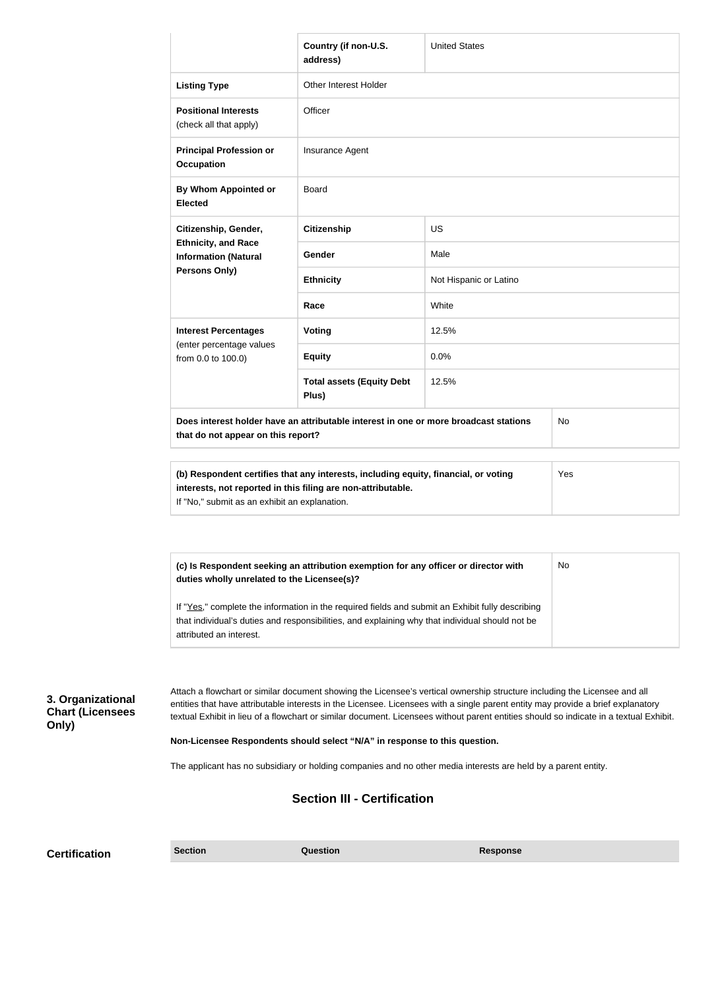|                                                       |                                                                                                                                                                                                                                                                                                                                                                                                         | Country (if non-U.S.<br>address)                                                                                                                                                                    | <b>United States</b>   |     |  |
|-------------------------------------------------------|---------------------------------------------------------------------------------------------------------------------------------------------------------------------------------------------------------------------------------------------------------------------------------------------------------------------------------------------------------------------------------------------------------|-----------------------------------------------------------------------------------------------------------------------------------------------------------------------------------------------------|------------------------|-----|--|
|                                                       | <b>Listing Type</b>                                                                                                                                                                                                                                                                                                                                                                                     | Other Interest Holder                                                                                                                                                                               |                        |     |  |
|                                                       | <b>Positional Interests</b><br>(check all that apply)                                                                                                                                                                                                                                                                                                                                                   | Officer                                                                                                                                                                                             |                        |     |  |
|                                                       | <b>Principal Profession or</b><br><b>Occupation</b>                                                                                                                                                                                                                                                                                                                                                     | Insurance Agent                                                                                                                                                                                     |                        |     |  |
|                                                       | By Whom Appointed or<br><b>Elected</b>                                                                                                                                                                                                                                                                                                                                                                  | Board                                                                                                                                                                                               |                        |     |  |
|                                                       | Citizenship, Gender,                                                                                                                                                                                                                                                                                                                                                                                    | <b>Citizenship</b>                                                                                                                                                                                  | <b>US</b>              |     |  |
|                                                       | <b>Ethnicity, and Race</b><br><b>Information (Natural</b>                                                                                                                                                                                                                                                                                                                                               | Gender                                                                                                                                                                                              | Male                   |     |  |
|                                                       | <b>Persons Only)</b>                                                                                                                                                                                                                                                                                                                                                                                    | <b>Ethnicity</b>                                                                                                                                                                                    | Not Hispanic or Latino |     |  |
|                                                       |                                                                                                                                                                                                                                                                                                                                                                                                         | Race                                                                                                                                                                                                | White                  |     |  |
|                                                       | <b>Interest Percentages</b>                                                                                                                                                                                                                                                                                                                                                                             | <b>Voting</b>                                                                                                                                                                                       | 12.5%                  |     |  |
|                                                       | (enter percentage values<br>from 0.0 to 100.0)                                                                                                                                                                                                                                                                                                                                                          | <b>Equity</b>                                                                                                                                                                                       | 0.0%                   |     |  |
|                                                       |                                                                                                                                                                                                                                                                                                                                                                                                         | <b>Total assets (Equity Debt</b><br>Plus)                                                                                                                                                           | 12.5%                  |     |  |
|                                                       | that do not appear on this report?                                                                                                                                                                                                                                                                                                                                                                      | Does interest holder have an attributable interest in one or more broadcast stations                                                                                                                |                        | No  |  |
|                                                       |                                                                                                                                                                                                                                                                                                                                                                                                         |                                                                                                                                                                                                     |                        |     |  |
|                                                       | interests, not reported in this filing are non-attributable.<br>If "No," submit as an exhibit an explanation.                                                                                                                                                                                                                                                                                           | (b) Respondent certifies that any interests, including equity, financial, or voting                                                                                                                 |                        | Yes |  |
|                                                       |                                                                                                                                                                                                                                                                                                                                                                                                         |                                                                                                                                                                                                     |                        |     |  |
|                                                       | (c) Is Respondent seeking an attribution exemption for any officer or director with<br>No<br>duties wholly unrelated to the Licensee(s)?                                                                                                                                                                                                                                                                |                                                                                                                                                                                                     |                        |     |  |
|                                                       | attributed an interest.                                                                                                                                                                                                                                                                                                                                                                                 | If "Yes," complete the information in the required fields and submit an Exhibit fully describing<br>that individual's duties and responsibilities, and explaining why that individual should not be |                        |     |  |
|                                                       |                                                                                                                                                                                                                                                                                                                                                                                                         |                                                                                                                                                                                                     |                        |     |  |
| 3. Organizational<br><b>Chart (Licensees</b><br>Only) | Attach a flowchart or similar document showing the Licensee's vertical ownership structure including the Licensee and all<br>entities that have attributable interests in the Licensee. Licensees with a single parent entity may provide a brief explanatory<br>textual Exhibit in lieu of a flowchart or similar document. Licensees without parent entities should so indicate in a textual Exhibit. |                                                                                                                                                                                                     |                        |     |  |
|                                                       | Non-Licensee Respondents should select "N/A" in response to this question.                                                                                                                                                                                                                                                                                                                              |                                                                                                                                                                                                     |                        |     |  |
|                                                       | The applicant has no subsidiary or holding companies and no other media interests are held by a parent entity.                                                                                                                                                                                                                                                                                          |                                                                                                                                                                                                     |                        |     |  |
|                                                       |                                                                                                                                                                                                                                                                                                                                                                                                         | <b>Section III - Certification</b>                                                                                                                                                                  |                        |     |  |
|                                                       |                                                                                                                                                                                                                                                                                                                                                                                                         |                                                                                                                                                                                                     |                        |     |  |

**Certification Section Section Question** *Question* **Response**